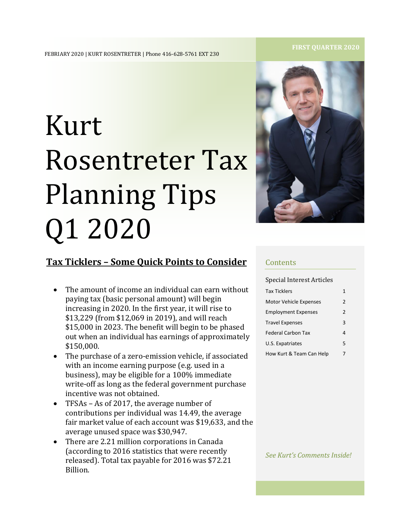# Kurt Rosentreter Tax Planning Tips Q1 2020



## **Tax Ticklers – Some Quick Points to Consider**

- The amount of income an individual can earn without paying tax (basic personal amount) will begin increasing in 2020. In the first year, it will rise to \$13,229 (from \$12,069 in 2019), and will reach \$15,000 in 2023. The benefit will begin to be phased out when an individual has earnings of approximately \$150,000.
- The purchase of a zero-emission vehicle, if associated with an income earning purpose (e.g. used in a business), may be eligible for a 100% immediate write-off as long as the federal government purchase incentive was not obtained.
- TFSAs As of 2017, the average number of contributions per individual was 14.49, the average fair market value of each account was \$19,633, and the average unused space was \$30,947.
- There are 2.21 million corporations in Canada (according to 2016 statistics that were recently released). Total tax payable for 2016 was \$72.21 Billion.

#### **Contents**

Special Interest Articles

| <b>Tax Ticklers</b>           | 1 |
|-------------------------------|---|
| <b>Motor Vehicle Expenses</b> | 2 |
| <b>Employment Expenses</b>    | 2 |
| <b>Travel Expenses</b>        | 3 |
| <b>Federal Carbon Tax</b>     | 4 |
| U.S. Expatriates              | 5 |
| How Kurt & Team Can Help      | 7 |
|                               |   |

*See Kurt's Comments Inside!*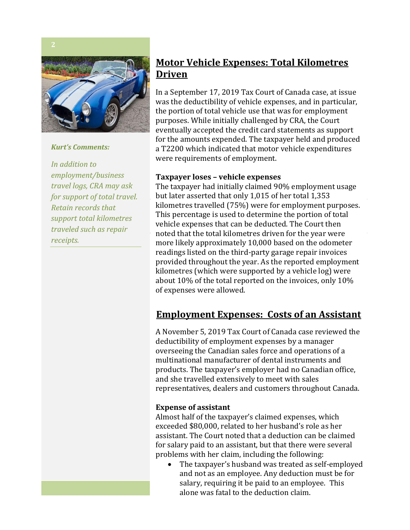

*Kurt's Comments:*

*In addition to employment/business travel logs, CRA may ask for support of total travel. Retain records that support total kilometres traveled such as repair receipts.* 

## **Motor Vehicle Expenses: Total Kilometres Driven**

In a September 17, 2019 Tax Court of Canada case, at issue m a september 17, 2019 Tax court of canada case, at issue was the deductibility of vehicle expenses, and in particular, was the deductionally of ventile expenses, and in particular, the portion of total vehicle use that was for employment purposes. While initially challenged by CRA, the Court and 12. eventually accepted the credit card statements as support a T2200 which indicated that motor vehicle expenditures related which indicated that motor veniere expension were requirements of employment. for the amounts expended. The taxpayer held and produced

#### **Taxpayer loses – vehicle expenses**

The taxpayer had initially claimed 90% employment usage but later asserted that only 1,015 of her total  $1,353$ but later asserted that only 1,015 of her total 1,555<br>kilometres travelled (75%) were for employment purposes.  $\alpha$  the physical and article  $\alpha$  is  $\alpha$  of  $\alpha$  child  $\alpha$  child  $\alpha$  child  $\alpha$  child  $\alpha$  child  $\alpha$  child  $\alpha$  child  $\alpha$  child  $\alpha$  child  $\alpha$  child  $\alpha$  child  $\alpha$  child  $\alpha$  child  $\alpha$  child  $\alpha$  child  $\alpha$  child This percentage is ased to acterning the portion or total vehicle expenses that can be deducted. The Court then noted that the total kilometres driven for the year were more many approximately 10,000 based on the odometer readings listed on the third-party garage repair invoices provided throughout the year. As the reported employment provided an oughout the year. As the reported employmetres (which were supported by a vehicle log) were about 10% of the total reported on the invoices, only 10% about 10% of the total rep.<br>of expenses were allowed. more likely approximately 10,000 based on the odometer

## **Employment Expenses: Costs of an Assistant**

A November 5, 2019 Tax Court of Canada case reviewed the deductibility of employment expenses by a manager overseeing the Canadian sales force and operations of a multinational manufacturer of dental instruments and and she travelled extensively to meet with sales representatives, dealers and customers throughout Canada. products. The taxpayer's employer had no Canadian office,

## **Expense of assistant as "it is expense of assistant"**

Almost half of the taxpayer's claimed expenses, which exceeded \$80,000, related to her husband's role as her assistant. The Court noted that a deduction can be claimed for salary paid to an assistant, but that there were several problems with her claim, including the following:

• The taxpayer's husband was treated as self-employed and not as an employee. Any deduction must be for salary, requiring it be paid to an employee. This alone was fatal to the deduction claim.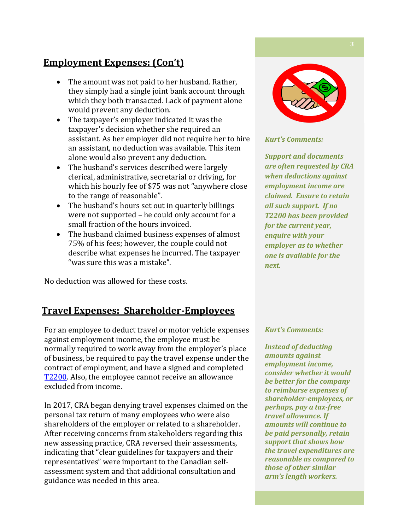## **Employment Expenses: (Con't)**

- The amount was not paid to her husband. Rather, they simply had a single joint bank account through which they both transacted. Lack of payment alone would prevent any deduction.
- The taxpayer's employer indicated it was the taxpayer's decision whether she required an assistant. As her employer did not require her to hire an assistant, no deduction was available. This item alone would also prevent any deduction.
- The husband's services described were largely clerical, administrative, secretarial or driving, for which his hourly fee of \$75 was not "anywhere close to the range of reasonable".
- The husband's hours set out in quarterly billings were not supported – he could only account for a small fraction of the hours invoiced.
- The husband claimed business expenses of almost 75% of his fees; however, the couple could not describe what expenses he incurred. The taxpayer "was sure this was a mistake".

No deduction was allowed for these costs.

## **Travel Expenses: Shareholder-Employees**

For an employee to deduct travel or motor vehicle expenses against employment income, the employee must be normally required to work away from the employer's place of business, be required to pay the travel expense under the contract of employment, and have a signed and completed [T2200.](https://www.canada.ca/en/revenue-agency/services/forms-publications/forms/t2200.html) Also, the employee cannot receive an allowance excluded from income.

In 2017, CRA began denying travel expenses claimed on the personal tax return of many employees who were also shareholders of the employer or related to a shareholder. After receiving concerns from stakeholders regarding this new assessing practice, CRA reversed their assessments, indicating that "clear guidelines for taxpayers and their representatives" were important to the Canadian selfassessment system and that additional consultation and guidance was needed in this area.



#### *Kurt's Comments:*

*Support and documents are often requested by CRA when deductions against employment income are claimed. Ensure to retain all such support. If no T2200 has been provided for the current year, enquire with your employer as to whether one is available for the next.* 

#### *Kurt's Comments:*

*Instead of deducting amounts against employment income, consider whether it would be better for the company to reimburse expenses of shareholder-employees, or perhaps, pay a tax-free travel allowance. If amounts will continue to be paid personally, retain support that shows how the travel expenditures are reasonable as compared to those of other similar arm's length workers.*

*arm's*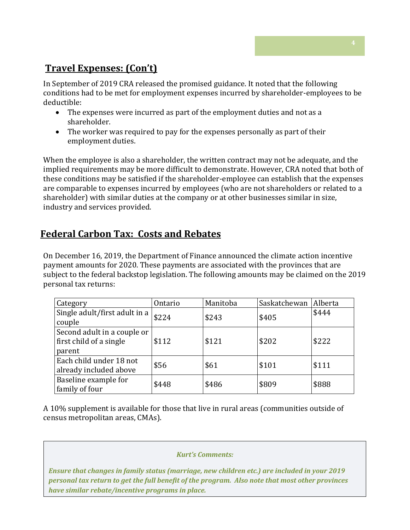## **Travel Expenses: (Con't)**

In September of 2019 CRA released the promised guidance. It noted that the following conditions had to be met for employment expenses incurred by shareholder-employees to be deductible:

- The expenses were incurred as part of the employment duties and not as a shareholder.
- The worker was required to pay for the expenses personally as part of their employment duties.

When the employee is also a shareholder, the written contract may not be adequate, and the implied requirements may be more difficult to demonstrate. However, CRA noted that both of these conditions may be satisfied if the shareholder-employee can establish that the expenses are comparable to expenses incurred by employees (who are not shareholders or related to a shareholder) with similar duties at the company or at other businesses similar in size, industry and services provided.

## **Federal Carbon Tax: Costs and Rebates**

On December 16, 2019, the Department of Finance announced the climate action incentive payment amounts for 2020. These payments are associated with the provinces that are subject to the federal backstop legislation. The following amounts may be claimed on the 2019 personal tax returns:

| Category                                                         | Ontario | Manitoba | Saskatchewan | Alberta |
|------------------------------------------------------------------|---------|----------|--------------|---------|
| Single adult/first adult in a<br>couple                          | \$224   | \$243    | \$405        | \$444   |
| Second adult in a couple or<br>first child of a single<br>parent | \$112   | \$121    | \$202        | \$222   |
| Each child under 18 not<br>already included above                | \$56    | \$61     | \$101        | \$111   |
| Baseline example for<br>family of four                           | \$448   | \$486    | \$809        | \$888   |

A 10% supplement is available for those that live in rural areas (communities outside of census metropolitan areas, CMAs).

## *Kurt's Comments:*

*Ensure that changes in family status (marriage, new children etc.) are included in your 2019 personal tax return to get the full benefit of the program. Also note that most other provinces have similar rebate/incentive programs in place.*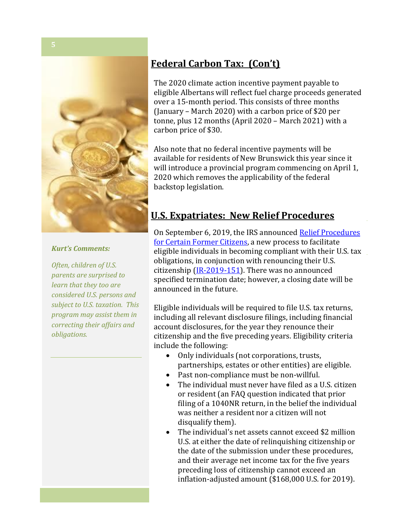

#### *Kurt's Comments:*

*Often, children of U.S. parents are surprised to learn that they too are considered U.S. persons and subject to U.S. taxation. This program may assist them in correcting their affairs and obligations.* 

## **Federal Carbon Tax: (Con't) Federal Carbon Tax: (Con't)**

The 2020 climate action incentive payment payable to eligible Albertans will reflect fuel charge proceeds generated (January - March 2020) with a carbon price of \$20 per tonne, plus 12 months (April 2020 – March 2021) with a carbon price of \$30.  $\blacksquare$ over a 15-month period. This consists of three months

Also note that no federal incentive payments will be available for residents of New Brunswick this year since it will introduce a provincial program commencing on April 1, 2020 which removes the applicability of the federal backstop legislation.

### **U.S. Expatriates: New Relief Procedures** [environment-climate-change/services/climate-](https://www.canada.ca/en/environment-climate-change/services/climate-change/pricing-pollution-how-it-will-work.html)

On September 6, 2019, the IRS announced <u>Relief Procedures</u> [for Certain Former Citizens,](https://www.irs.gov/individuals/international-taxpayers/relief-procedures-for-certain-former-citizens) a new process to facilitate eligible individuals in becoming compliant with their U.S. tax citizenship (<u>IR-2019-151</u>). There was no announced specified termination date; however, a closing date will be announced in the future. obligations, in conjunction with renouncing their U.S.

Eligible individuals will be required to file U.S. tax returns, including all relevant disclosure filings, including financial account disclosures, for the year they renounce their citizenship and the five preceding years. Eligibility criteria include the following:  $\mathbf{S}$ 

- Only individuals (not corporations, trusts, partnerships, estates or other entities) are eligible.
- Past non-compliance must be non-willful.
- $\bullet$  The individual must never have filed as a U.S. citizen filing of a 1040NR return, in the belief the individual was neither a resident nor a citizen will not or resident (an FAQ question indicated that prior disqualify them).
- The individual's net assets cannot exceed \$2 million U.S. at either the date of relinquishing citizenship or the date of the submission under these procedures, and their average net income tax for the five years preceding loss of citizenship cannot exceed an inflation-adjusted amount (\$168,000 U.S. for 2019).  $\,$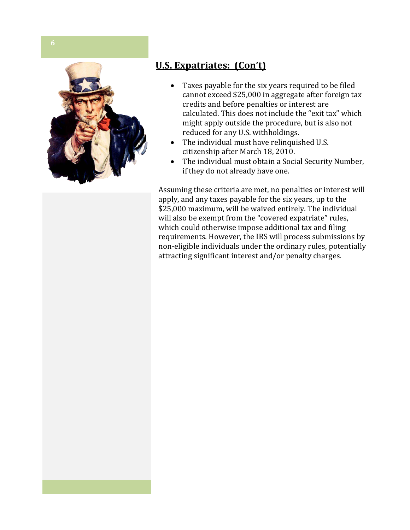

# **U.S. Expatriates: (Con't)**

- Taxes payable for the six years required to be filed cannot exceed \$25,000 in aggregate after foreign tax credits and before penalties or interest are calculated. This does not include the "exit tax" which might apply outside the procedure, but is also not reduced for any U.S. withholdings.
- The individual must have relinquished U.S. citizenship after March 18, 2010.
- The individual must obtain a Social Security Number, if they do not already have one.

Assuming these criteria are met, no penalties or interest will apply, and any taxes payable for the six years, up to the \$25,000 maximum, will be waived entirely. The individual will also be exempt from the "covered expatriate" rules, which could otherwise impose additional tax and filing requirements. However, the IRS will process submissions by non-eligible individuals under the ordinary rules, potentially attracting significant interest and/or penalty charges.